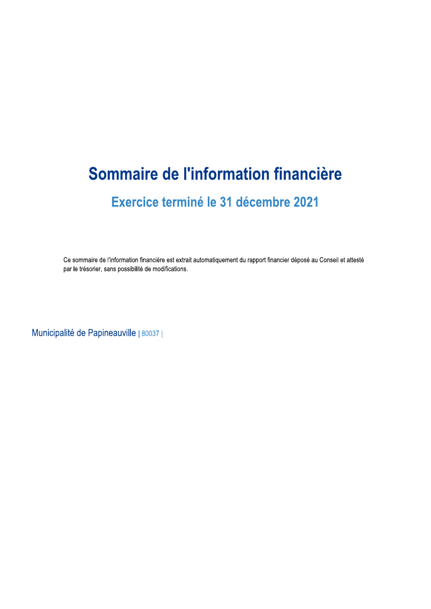# Sommaire de l'information financière

## Exercice terminé le 31 décembre 2021

Ce sommaire de l'information financière est extrait automatiquement du rapport financier déposé au Conseil et attesté par le trésorier, sans possibilité de modifications.

Municipalité de Papineauville | 80037 |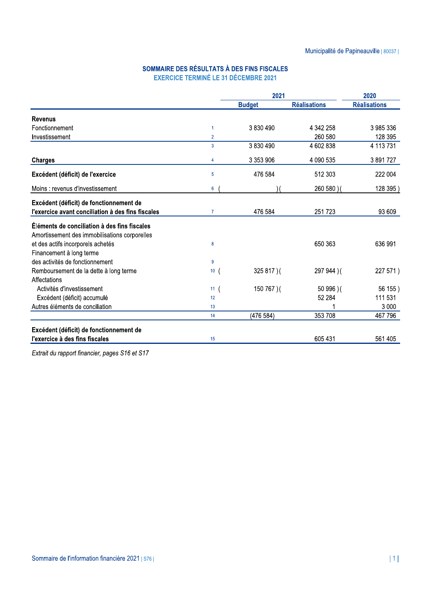#### SOMMAIRE DES RÉSULTATS À DES FINS FISCALES EXERCICE TERMINÉ LE 31 DÉCEMBRE 2021

|                                                   |                      | 2021          |                     | 2020                |  |
|---------------------------------------------------|----------------------|---------------|---------------------|---------------------|--|
|                                                   |                      | <b>Budget</b> | <b>Réalisations</b> | <b>Réalisations</b> |  |
| <b>Revenus</b>                                    |                      |               |                     |                     |  |
| Fonctionnement                                    | $\blacktriangleleft$ | 3830490       | 4 342 258           | 3985336             |  |
| Investissement                                    | $\overline{2}$       |               | 260 580             | 128 395             |  |
|                                                   | 3                    | 3 830 490     | 4 602 838           | 4 113 731           |  |
| <b>Charges</b>                                    | 4                    | 3 353 906     | 4 090 535           | 3891727             |  |
| Excédent (déficit) de l'exercice                  | 5                    | 476 584       | 512 303             | 222 004             |  |
| Moins: revenus d'investissement                   | $6\phantom{1}$       |               | 260 580 ) (         | 128 395)            |  |
| Excédent (déficit) de fonctionnement de           |                      |               |                     |                     |  |
| l'exercice avant conciliation à des fins fiscales | $\overline{7}$       | 476 584       | 251723              | 93 609              |  |
| Éléments de conciliation à des fins fiscales      |                      |               |                     |                     |  |
| Amortissement des immobilisations corporelles     |                      |               |                     |                     |  |
| et des actifs incorporels achetés                 | 8                    |               | 650 363             | 636 991             |  |
| Financement à long terme                          |                      |               |                     |                     |  |
| des activités de fonctionnement                   | $\overline{9}$       |               |                     |                     |  |
| Remboursement de la dette à long terme            | 10 <sup>°</sup>      | 325 817)(     | 297 944 ) (         | 227 571)            |  |
| Affectations                                      |                      |               |                     |                     |  |
| Activités d'investissement                        | 11 <sub>1</sub>      | 150 767 ) (   | 50 996 ) (          | 56 155)             |  |
| Excédent (déficit) accumulé                       | 12                   |               | 52 284              | 111 531             |  |
| Autres éléments de conciliation                   | 13                   |               |                     | 3 0 0 0             |  |
|                                                   | 14                   | (476 584)     | 353 708             | 467 796             |  |
| Excédent (déficit) de fonctionnement de           |                      |               |                     |                     |  |
| l'exercice à des fins fiscales                    | 15                   |               | 605 431             | 561 405             |  |

Extrait du rapport financier, pages S16 et S17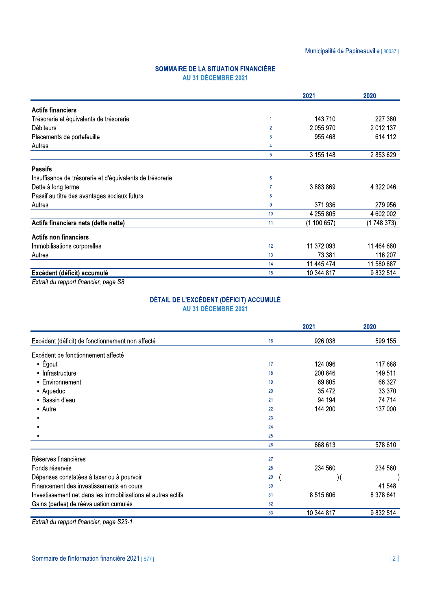#### SOMMAIRE DE LA SITUATION FINANCIÈRE AU 31 DÉCEMBRE 2021

|                                                           |                | 2021        | 2020        |
|-----------------------------------------------------------|----------------|-------------|-------------|
| <b>Actifs financiers</b>                                  |                |             |             |
| Trésorerie et équivalents de trésorerie                   | 1              | 143 710     | 227 380     |
| Débiteurs                                                 | $\overline{2}$ | 2 055 970   | 2 012 137   |
| Placements de portefeuille                                | 3              | 955 468     | 614 112     |
| Autres                                                    | 4              |             |             |
|                                                           | 5              | 3 155 148   | 2853629     |
| <b>Passifs</b>                                            |                |             |             |
| Insuffisance de trésorerie et d'équivalents de trésorerie | 6              |             |             |
| Dette à long terme                                        |                | 3883869     | 4 322 046   |
| Passif au titre des avantages sociaux futurs              | 8              |             |             |
| Autres                                                    | 9              | 371936      | 279 956     |
|                                                           | 10             | 4 255 805   | 4 602 002   |
| Actifs financiers nets (dette nette)                      | 11             | (1 100 657) | (1 748 373) |
| <b>Actifs non financiers</b>                              |                |             |             |
| Immobilisations corporelles                               | 12             | 11 372 093  | 11 464 680  |
| Autres                                                    | 13             | 73 381      | 116 207     |
|                                                           | 14             | 11 445 474  | 11 580 887  |
| Excédent (déficit) accumulé                               | 15             | 10 344 817  | 9 832 514   |
| $\sim$ $\sim$                                             |                |             |             |

Extrait du rapport financier, page S8

### DÉTAIL DE L'EXCÉDENT (DÉFICIT) ACCUMULÉ AU 31 DÉCEMBRE 2021

|                                                              |    | 2021       | 2020      |
|--------------------------------------------------------------|----|------------|-----------|
| Excédent (déficit) de fonctionnement non affecté             | 16 | 926 038    | 599 155   |
| Excédent de fonctionnement affecté                           |    |            |           |
| $-$ Égout                                                    | 17 | 124 096    | 117 688   |
| - Infrastructure                                             | 18 | 200 846    | 149 511   |
| • Environnement                                              | 19 | 69 805     | 66 327    |
| - Aqueduc                                                    | 20 | 35 472     | 33 370    |
| • Bassin d'eau                                               | 21 | 94 194     | 74 714    |
| • Autre                                                      | 22 | 144 200    | 137 000   |
| п                                                            | 23 |            |           |
|                                                              | 24 |            |           |
|                                                              | 25 |            |           |
|                                                              | 26 | 668 613    | 578 610   |
| Réserves financières                                         | 27 |            |           |
| Fonds réservés                                               | 28 | 234 560    | 234 560   |
| Dépenses constatées à taxer ou à pourvoir                    | 29 | ) (        |           |
| Financement des investissements en cours                     | 30 |            | 41 548    |
| Investissement net dans les immobilisations et autres actifs | 31 | 8 515 606  | 8 378 641 |
| Gains (pertes) de réévaluation cumulés                       | 32 |            |           |
|                                                              | 33 | 10 344 817 | 9 832 514 |

Extrait du rapport financier, page S23-1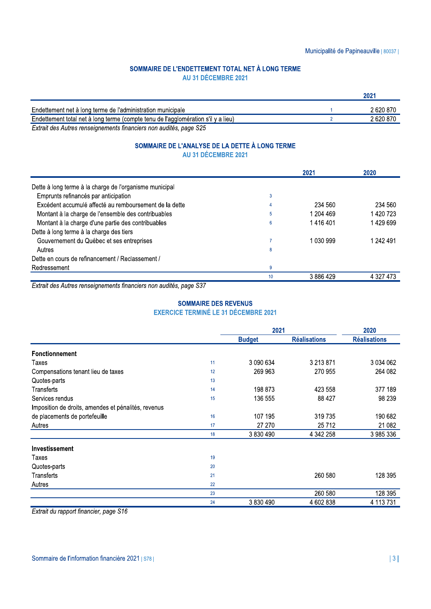#### SOMMAIRE DE L'ENDETTEMENT TOTAL NET À LONG TERME AU 31 DÉCEMBRE 2021

| Endettement net à long terme de l'administration municipale                       | 2620870   |
|-----------------------------------------------------------------------------------|-----------|
| Endettement total net à long terme (compte tenu de l'agglomération s'il y a lieu) | 2 620 870 |
| Eytwait dee Autres repeateparante frequenciere per suditée pers COE               |           |

Extrait des Autres renseignements financiers non audités, page S25

#### SOMMAIRE DE L'ANALYSE DE LA DETTE À LONG TERME AU 31 DÉCEMBRE 2021

|                                                         |    | 2021      | 2020      |
|---------------------------------------------------------|----|-----------|-----------|
| Dette à long terme à la charge de l'organisme municipal |    |           |           |
| Emprunts refinancés par anticipation                    | 3  |           |           |
| Excédent accumulé affecté au remboursement de la dette  | 4  | 234 560   | 234 560   |
| Montant à la charge de l'ensemble des contribuables     | 5  | 1 204 469 | 1 420 723 |
| Montant à la charge d'une partie des contribuables      | 6  | 1416401   | 1429699   |
| Dette à long terme à la charge des tiers                |    |           |           |
| Gouvernement du Québec et ses entreprises               |    | 1 030 999 | 1 242 491 |
| Autres                                                  | 8  |           |           |
| Dette en cours de refinancement / Reclassement /        |    |           |           |
| Redressement                                            | 9  |           |           |
|                                                         | 10 | 3886429   | 4 327 473 |

Extrait des Autres renseignements financiers non audités, page S37

#### **SOMMAIRE DES REVENUS EXERCICE TERMINÉ LE 31 DÉCEMBRE 2021**

|                                                     |    | 2021          | 2020                |                     |
|-----------------------------------------------------|----|---------------|---------------------|---------------------|
|                                                     |    | <b>Budget</b> | <b>Réalisations</b> | <b>Réalisations</b> |
| <b>Fonctionnement</b>                               |    |               |                     |                     |
| Taxes                                               | 11 | 3 090 634     | 3 213 871           | 3 034 062           |
| Compensations tenant lieu de taxes                  | 12 | 269 963       | 270 955             | 264 082             |
| Quotes-parts                                        | 13 |               |                     |                     |
| Transferts                                          | 14 | 198 873       | 423 558             | 377 189             |
| Services rendus                                     | 15 | 136 555       | 88 427              | 98 239              |
| Imposition de droits, amendes et pénalités, revenus |    |               |                     |                     |
| de placements de portefeuille                       | 16 | 107 195       | 319 735             | 190 682             |
| Autres                                              | 17 | 27 270        | 25712               | 21 082              |
|                                                     | 18 | 3 830 490     | 4 342 258           | 3985336             |
| Investissement                                      |    |               |                     |                     |
| Taxes                                               | 19 |               |                     |                     |
| Quotes-parts                                        | 20 |               |                     |                     |
| Transferts                                          | 21 |               | 260 580             | 128 395             |
| Autres                                              | 22 |               |                     |                     |
|                                                     | 23 |               | 260 580             | 128 395             |
|                                                     | 24 | 3 830 490     | 4 602 838           | 4 113 731           |

Extrait du rapport financier, page S16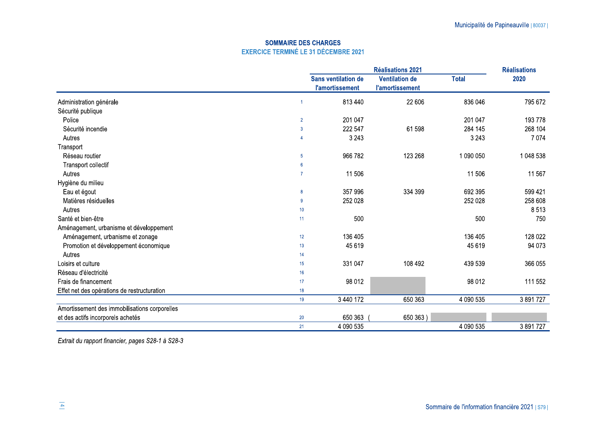#### **SOMMAIRE DES CHARGES EXERCICE TERMINÉ LE 31 DÉCEMBRE 2021**

|                                               |                  | <b>Réalisations 2021</b>                             |                                                 |              | <b>Réalisations</b> |
|-----------------------------------------------|------------------|------------------------------------------------------|-------------------------------------------------|--------------|---------------------|
|                                               |                  | <b>Sans ventilation de</b><br><b>l'amortissement</b> | <b>Ventilation de</b><br><b>l'amortissement</b> | <b>Total</b> | 2020                |
| Administration générale                       |                  | 813 440                                              | 22 606                                          | 836 046      | 795 672             |
| Sécurité publique                             |                  |                                                      |                                                 |              |                     |
| Police                                        | $\overline{2}$   | 201 047                                              |                                                 | 201 047      | 193 778             |
| Sécurité incendie                             | $\overline{3}$   | 222 547                                              | 61 598                                          | 284 145      | 268 104             |
| Autres                                        |                  | 3 2 4 3                                              |                                                 | 3 2 4 3      | 7 0 7 4             |
| Transport                                     |                  |                                                      |                                                 |              |                     |
| Réseau routier                                | 5 <sub>5</sub>   | 966 782                                              | 123 268                                         | 1 090 050    | 1 048 538           |
| Transport collectif                           | 6                |                                                      |                                                 |              |                     |
| Autres                                        | $\overline{7}$   | 11 506                                               |                                                 | 11 506       | 11 567              |
| Hygiène du milieu                             |                  |                                                      |                                                 |              |                     |
| Eau et égout                                  | $\boldsymbol{8}$ | 357 996                                              | 334 399                                         | 692 395      | 599 421             |
| Matières résiduelles                          | 9                | 252 028                                              |                                                 | 252 028      | 258 608             |
| Autres                                        | 10               |                                                      |                                                 |              | 8513                |
| Santé et bien-être                            | 11               | 500                                                  |                                                 | 500          | 750                 |
| Aménagement, urbanisme et développement       |                  |                                                      |                                                 |              |                     |
| Aménagement, urbanisme et zonage              | 12               | 136 405                                              |                                                 | 136 405      | 128 022             |
| Promotion et développement économique         | 13               | 45 619                                               |                                                 | 45 619       | 94 073              |
| Autres                                        | 14               |                                                      |                                                 |              |                     |
| Loisirs et culture                            | 15               | 331 047                                              | 108 492                                         | 439 539      | 366 055             |
| Réseau d'électricité                          | 16               |                                                      |                                                 |              |                     |
| Frais de financement                          | 17 <sup>17</sup> | 98 012                                               |                                                 | 98 012       | 111 552             |
| Effet net des opérations de restructuration   | 18               |                                                      |                                                 |              |                     |
|                                               | 19               | 3 440 172                                            | 650 363                                         | 4 090 535    | 3 891 727           |
| Amortissement des immobilisations corporelles |                  |                                                      |                                                 |              |                     |
| et des actifs incorporels achetés             | 20               | 650 363                                              | 650 363)                                        |              |                     |
|                                               | 21               | 4 090 535                                            |                                                 | 4 090 535    | 3 891 727           |

Extrait du rapport financier, pages S28-1 à S28-3